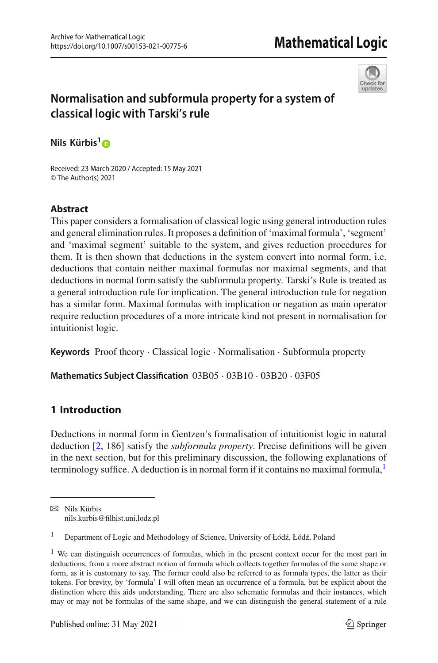

# **Normalisation and subformula property for a system of classical logic with Tarski's rule**

**Nils Kürbis[1](http://orcid.org/0000-0002-3651-5458)**

Received: 23 March 2020 / Accepted: 15 May 2021 © The Author(s) 2021

# **Abstract**

This paper considers a formalisation of classical logic using general introduction rules and general elimination rules. It proposes a definition of 'maximal formula', 'segment' and 'maximal segment' suitable to the system, and gives reduction procedures for them. It is then shown that deductions in the system convert into normal form, i.e. deductions that contain neither maximal formulas nor maximal segments, and that deductions in normal form satisfy the subformula property. Tarski's Rule is treated as a general introduction rule for implication. The general introduction rule for negation has a similar form. Maximal formulas with implication or negation as main operator require reduction procedures of a more intricate kind not present in normalisation for intuitionist logic.

**Keywords** Proof theory · Classical logic · Normalisation · Subformula property

**Mathematics Subject Classification** 03B05 · 03B10 · 03B20 · 03F05

# **1 Introduction**

Deductions in normal form in Gentzen's formalisation of intuitionist logic in natural deduction [\[2](#page-23-0), 186] satisfy the *subformula property*. Precise definitions will be given in the next section, but for this preliminary discussion, the following explanations of terminology suffice. A deduction is in normal form if it contains no maximal formula, $<sup>1</sup>$ </sup>

 $\boxtimes$  Nils Kürbis nils.kurbis@filhist.uni.lodz.pl

Department of Logic and Methodology of Science, University of Łódź, Łódź, Poland

<span id="page-0-0"></span><sup>&</sup>lt;sup>1</sup> We can distinguish occurrences of formulas, which in the present context occur for the most part in deductions, from a more abstract notion of formula which collects together formulas of the same shape or form, as it is customary to say. The former could also be referred to as formula types, the latter as their tokens. For brevity, by 'formula' I will often mean an occurrence of a formula, but be explicit about the distinction where this aids understanding. There are also schematic formulas and their instances, which may or may not be formulas of the same shape, and we can distinguish the general statement of a rule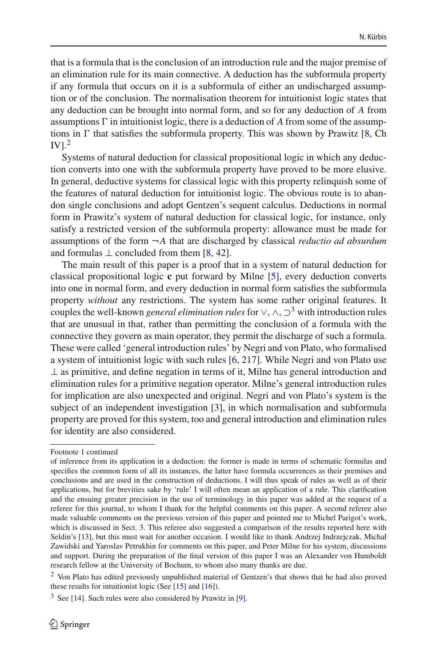that is a formula that is the conclusion of an introduction rule and the major premise of an elimination rule for its main connective. A deduction has the subformula property if any formula that occurs on it is a subformula of either an undischarged assumption or of the conclusion. The normalisation theorem for intuitionist logic states that any deduction can be brought into normal form, and so for any deduction of *A* from assumptions  $\Gamma$  in intuitionist logic, there is a deduction of  $A$  from some of the assumptions in  $\Gamma$  that satisfies the subformula property. This was shown by Prawitz [\[8,](#page-24-0) Ch  $IV<sup>2</sup>$  $IV<sup>2</sup>$  $IV<sup>2</sup>$ 

Systems of natural deduction for classical propositional logic in which any deduction converts into one with the subformula property have proved to be more elusive. In general, deductive systems for classical logic with this property relinquish some of the features of natural deduction for intuitionist logic. The obvious route is to abandon single conclusions and adopt Gentzen's sequent calculus. Deductions in normal form in Prawitz's system of natural deduction for classical logic, for instance, only satisfy a restricted version of the subformula property: allowance must be made for assumptions of the form ¬*A* that are discharged by classical *reductio ad absurdum* and formulas  $\perp$  concluded from them [\[8,](#page-24-0) 42].

The main result of this paper is a proof that in a system of natural deduction for classical propositional logic **c** put forward by Milne [\[5](#page-24-1)], every deduction converts into one in normal form, and every deduction in normal form satisfies the subformula property *without* any restrictions. The system has some rather original features. It couples the well-known *general elimination rules* for  $\vee$ ,  $\wedge$ ,  $\supset$ <sup>[3](#page-1-1)</sup> with introduction rules that are unusual in that, rather than permitting the conclusion of a formula with the connective they govern as main operator, they permit the discharge of such a formula. These were called 'general introduction rules' by Negri and von Plato, who formalised a system of intuitionist logic with such rules [\[6,](#page-24-2) 217]. While Negri and von Plato use  $\perp$  as primitive, and define negation in terms of it, Milne has general introduction and elimination rules for a primitive negation operator. Milne's general introduction rules for implication are also unexpected and original. Negri and von Plato's system is the subject of an independent investigation [\[3](#page-23-1)], in which normalisation and subformula property are proved for this system, too and general introduction and elimination rules for identity are also considered.

Footnote 1 continued

of inference from its application in a deduction: the former is made in terms of schematic formulas and specifies the common form of all its instances, the latter have formula occurrences as their premises and conclusions and are used in the construction of deductions. I will thus speak of rules as well as of their applications, but for brevities sake by 'rule' I will often mean an application of a rule. This clarification and the ensuing greater precision in the use of terminology in this paper was added at the request of a referee for this journal, to whom I thank for the helpful comments on this paper. A second referee also made valuable comments on the previous version of this paper and pointed me to Michel Parigot's work, which is discussed in Sect. [3.](#page-6-0) This referee also suggested a comparison of the results reported here with Seldin's [\[13](#page-24-3)], but this must wait for another occasion. I would like to thank Andrzej Indrzejczak, Michał Zawidski and Yaroslav Petrukhin for comments on this paper, and Peter Milne for his system, discussions and support. During the preparation of the final version of this paper I was an Alexander von Humboldt research fellow at the University of Bochum, to whom also many thanks are due.

<span id="page-1-0"></span><sup>2</sup> Von Plato has edited previously unpublished material of Gentzen's that shows that he had also proved these results for intuitionist logic (See  $[15]$  $[15]$  and  $[16]$  $[16]$ ).

<span id="page-1-1"></span> $3$  See [\[14\]](#page-24-6). Such rules were also considered by Prawitz in [\[9\]](#page-24-7).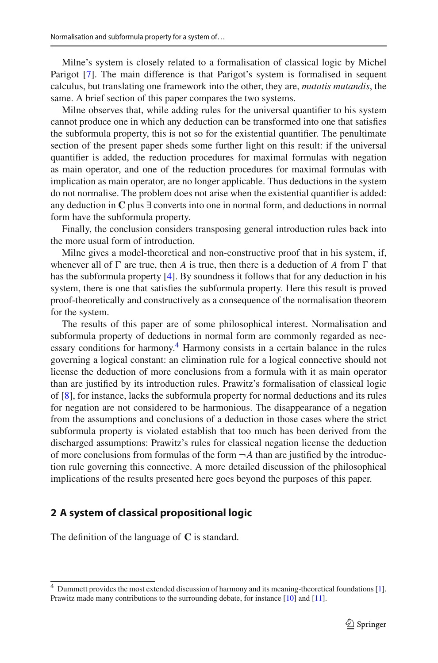Milne's system is closely related to a formalisation of classical logic by Michel Parigot [\[7\]](#page-24-8). The main difference is that Parigot's system is formalised in sequent calculus, but translating one framework into the other, they are, *mutatis mutandis*, the same. A brief section of this paper compares the two systems.

Milne observes that, while adding rules for the universal quantifier to his system cannot produce one in which any deduction can be transformed into one that satisfies the subformula property, this is not so for the existential quantifier. The penultimate section of the present paper sheds some further light on this result: if the universal quantifier is added, the reduction procedures for maximal formulas with negation as main operator, and one of the reduction procedures for maximal formulas with implication as main operator, are no longer applicable. Thus deductions in the system do not normalise. The problem does not arise when the existential quantifier is added: any deduction in **C** plus ∃ converts into one in normal form, and deductions in normal form have the subformula property.

Finally, the conclusion considers transposing general introduction rules back into the more usual form of introduction.

Milne gives a model-theoretical and non-constructive proof that in his system, if, whenever all of  $\Gamma$  are true, then *A* is true, then there is a deduction of *A* from  $\Gamma$  that has the subformula property [\[4\]](#page-24-9). By soundness it follows that for any deduction in his system, there is one that satisfies the subformula property. Here this result is proved proof-theoretically and constructively as a consequence of the normalisation theorem for the system.

The results of this paper are of some philosophical interest. Normalisation and subformula property of deductions in normal form are commonly regarded as necessary conditions for harmony.<sup>4</sup> Harmony consists in a certain balance in the rules governing a logical constant: an elimination rule for a logical connective should not license the deduction of more conclusions from a formula with it as main operator than are justified by its introduction rules. Prawitz's formalisation of classical logic of [\[8\]](#page-24-0), for instance, lacks the subformula property for normal deductions and its rules for negation are not considered to be harmonious. The disappearance of a negation from the assumptions and conclusions of a deduction in those cases where the strict subformula property is violated establish that too much has been derived from the discharged assumptions: Prawitz's rules for classical negation license the deduction of more conclusions from formulas of the form  $\neg A$  than are justified by the introduction rule governing this connective. A more detailed discussion of the philosophical implications of the results presented here goes beyond the purposes of this paper.

### **2 A system of classical propositional logic**

The definition of the language of **C** is standard.

<span id="page-2-0"></span><sup>4</sup> Dummett provides the most extended discussion of harmony and its meaning-theoretical foundations [\[1](#page-23-2)]. Prawitz made many contributions to the surrounding debate, for instance [\[10\]](#page-24-10) and [\[11\]](#page-24-11).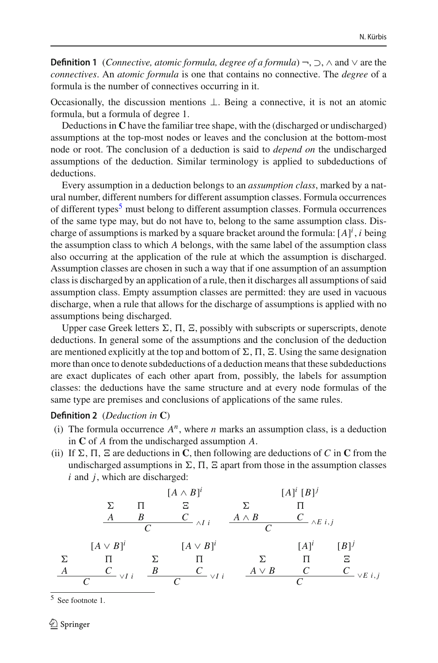**Definition 1** (*Connective, atomic formula, degree of a formula*) ¬, ⊃, ∧ and ∨ are the *connectives*. An *atomic formula* is one that contains no connective. The *degree* of a formula is the number of connectives occurring in it.

Occasionally, the discussion mentions  $\perp$ . Being a connective, it is not an atomic formula, but a formula of degree 1.

Deductions in **C** have the familiar tree shape, with the (discharged or undischarged) assumptions at the top-most nodes or leaves and the conclusion at the bottom-most node or root. The conclusion of a deduction is said to *depend on* the undischarged assumptions of the deduction. Similar terminology is applied to subdeductions of deductions.

Every assumption in a deduction belongs to an *assumption class*, marked by a natural number, different numbers for different assumption classes. Formula occurrences of different types<sup>[5](#page-3-0)</sup> must belong to different assumption classes. Formula occurrences of the same type may, but do not have to, belong to the same assumption class. Discharge of assumptions is marked by a square bracket around the formula:  $[A]^i$ , *i* being the assumption class to which *A* belongs, with the same label of the assumption class also occurring at the application of the rule at which the assumption is discharged. Assumption classes are chosen in such a way that if one assumption of an assumption class is discharged by an application of a rule, then it discharges all assumptions of said assumption class. Empty assumption classes are permitted: they are used in vacuous discharge, when a rule that allows for the discharge of assumptions is applied with no assumptions being discharged.

Upper case Greek letters  $\Sigma$ ,  $\Pi$ ,  $\Sigma$ , possibly with subscripts or superscripts, denote deductions. In general some of the assumptions and the conclusion of the deduction are mentioned explicitly at the top and bottom of  $\Sigma$ ,  $\Pi$ ,  $\Sigma$ . Using the same designation more than once to denote subdeductions of a deduction means that these subdeductions are exact duplicates of each other apart from, possibly, the labels for assumption classes: the deductions have the same structure and at every node formulas of the same type are premises and conclusions of applications of the same rules.

### **Definition 2** (*Deduction in* **C**)

- (i) The formula occurrence  $A^n$ , where *n* marks an assumption class, is a deduction in **C** of *A* from the undischarged assumption *A*.
- (ii) If  $\Sigma$ ,  $\Pi$ ,  $\Xi$  are deductions in **C**, then following are deductions of *C* in **C** from the undischarged assumptions in  $\Sigma$ ,  $\Pi$ ,  $\Sigma$  apart from those in the assumption classes *i* and *j*, which are discharged:

 *A B* [*A* ∧ *B*] *i <sup>C</sup>* <sup>∧</sup>*I i <sup>C</sup> A* ∧ *B* [*A*] *<sup>i</sup>* [*B*]*<sup>j</sup> <sup>C</sup>* <sup>∧</sup>*E i*,*<sup>j</sup> <sup>C</sup> A* [*A* ∨ *B*] *i <sup>C</sup>* <sup>∨</sup>*I i <sup>C</sup> B* [*A* ∨ *B*] *i <sup>C</sup>* <sup>∨</sup>*I i <sup>C</sup> A* ∨ *B* [*A*] *i C* [*B*]*<sup>j</sup> <sup>C</sup>* <sup>∨</sup>*E i*,*<sup>j</sup> <sup>C</sup>*

<span id="page-3-0"></span><sup>5</sup> See footnote 1.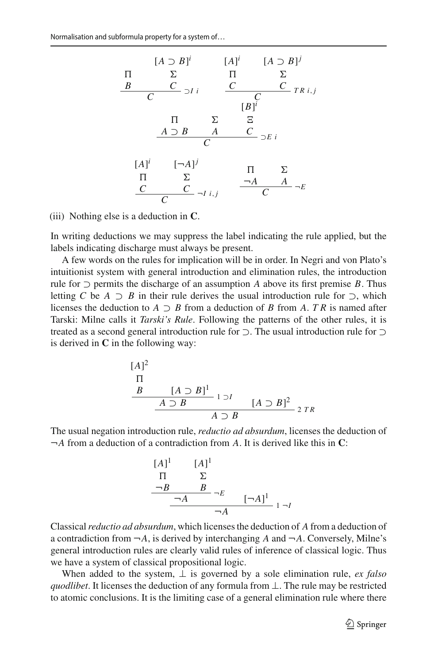

(iii) Nothing else is a deduction in **C**.

In writing deductions we may suppress the label indicating the rule applied, but the labels indicating discharge must always be present.

A few words on the rules for implication will be in order. In Negri and von Plato's intuitionist system with general introduction and elimination rules, the introduction rule for  $\supset$  permits the discharge of an assumption *A* above its first premise *B*. Thus letting *C* be *A* ⊃ *B* in their rule derives the usual introduction rule for  $\supset$ , which licenses the deduction to  $A \supset B$  from a deduction of *B* from *A*. *TR* is named after Tarski: Milne calls it *Tarski's Rule*. Following the patterns of the other rules, it is treated as a second general introduction rule for ⊃. The usual introduction rule for ⊃ is derived in **C** in the following way:

$$
\begin{array}{c}\n[A]^2 \\
\P \\
B \quad [A \supset B]^1 \\
\hline\nA \supset B \quad [A \supset B]^2 \\
\hline\nA \supset B\n\end{array} \quad\n[A \supset B]^2 \quad 2 \text{ } TR
$$

The usual negation introduction rule, *reductio ad absurdum*, licenses the deduction of ¬*A* from a deduction of a contradiction from *A*. It is derived like this in **C**:

$$
\begin{array}{ccc}\n[A]^1 & [A]^1 \\
\hline\n\P & \Sigma \\
\hline\n\neg B & B \\
\hline\n\hline\n\end{array}\n\rightleftharpoons E\n\begin{bmatrix}\n\neg A\n\end{bmatrix}^1\n\begin{array}{ccc}\n1 & -I\n\end{array}
$$

Classical*reductio ad absurdum*, which licenses the deduction of *A* from a deduction of a contradiction from  $\neg A$ , is derived by interchanging *A* and  $\neg A$ . Conversely, Milne's general introduction rules are clearly valid rules of inference of classical logic. Thus we have a system of classical propositional logic.

When added to the system,  $\perp$  is governed by a sole elimination rule, *ex falso quodlibet*. It licenses the deduction of any formula from ⊥. The rule may be restricted to atomic conclusions. It is the limiting case of a general elimination rule where there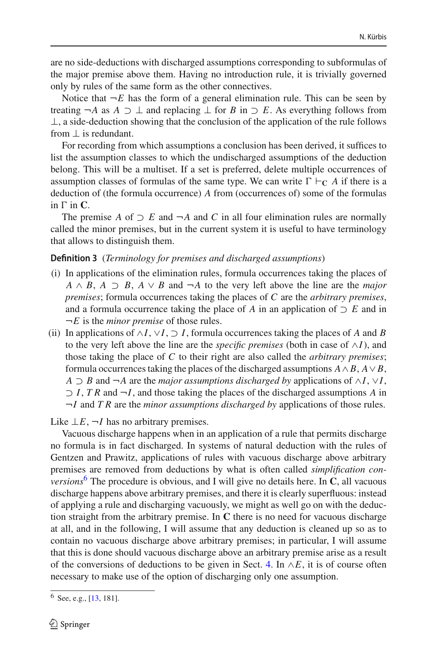are no side-deductions with discharged assumptions corresponding to subformulas of the major premise above them. Having no introduction rule, it is trivially governed only by rules of the same form as the other connectives.

Notice that  $\neg E$  has the form of a general elimination rule. This can be seen by treating  $\neg A$  as  $A \supset \bot$  and replacing  $\bot$  for *B* in  $\supset E$ . As everything follows from  $\perp$ , a side-deduction showing that the conclusion of the application of the rule follows from  $\perp$  is redundant.

For recording from which assumptions a conclusion has been derived, it suffices to list the assumption classes to which the undischarged assumptions of the deduction belong. This will be a multiset. If a set is preferred, delete multiple occurrences of assumption classes of formulas of the same type. We can write  $\Gamma \vdash_{\mathbf{C}} A$  if there is a deduction of (the formula occurrence) *A* from (occurrences of) some of the formulas in  $\Gamma$  in  $\mathbf{C}$ .

The premise *A* of  $\supset E$  and  $\neg A$  and *C* in all four elimination rules are normally called the minor premises, but in the current system it is useful to have terminology that allows to distinguish them.

### **Definition 3** (*Terminology for premises and discharged assumptions*)

- (i) In applications of the elimination rules, formula occurrences taking the places of  $A \wedge B$ ,  $A \supset B$ ,  $A \vee B$  and  $\neg A$  to the very left above the line are the *major premises*; formula occurrences taking the places of *C* are the *arbitrary premises*, and a formula occurrence taking the place of *A* in an application of  $\supset E$  and in ¬*E* is the *minor premise* of those rules.
- (ii) In applications of ∧*I*, ∨*I*, ⊃ *I*, formula occurrences taking the places of *A* and *B* to the very left above the line are the *specific premises* (both in case of  $\land$ *I*), and those taking the place of *C* to their right are also called the *arbitrary premises*; formula occurrences taking the places of the discharged assumptions  $A \wedge B$ ,  $A \vee B$ , *A*  $\supset$  *B* and  $\neg$ *A* are the *major assumptions discharged by* applications of  $\wedge$ *I*,  $\vee$ *I*, ⊃ *I*, *T R* and ¬*I*, and those taking the places of the discharged assumptions *A* in ¬*I* and *T R* are the *minor assumptions discharged by* applications of those rules.

Like  $\bot E$ ,  $\neg I$  has no arbitrary premises.

Vacuous discharge happens when in an application of a rule that permits discharge no formula is in fact discharged. In systems of natural deduction with the rules of Gentzen and Prawitz, applications of rules with vacuous discharge above arbitrary premises are removed from deductions by what is often called *simplification conversions*<sup>[6](#page-5-0)</sup> The procedure is obvious, and I will give no details here. In  $C$ , all vacuous discharge happens above arbitrary premises, and there it is clearly superfluous: instead of applying a rule and discharging vacuously, we might as well go on with the deduction straight from the arbitrary premise. In **C** there is no need for vacuous discharge at all, and in the following, I will assume that any deduction is cleaned up so as to contain no vacuous discharge above arbitrary premises; in particular, I will assume that this is done should vacuous discharge above an arbitrary premise arise as a result of the conversions of deductions to be given in Sect. [4.](#page-7-0) In  $\wedge E$ , it is of course often necessary to make use of the option of discharging only one assumption.

<span id="page-5-0"></span><sup>6</sup> See, e.g., [\[13](#page-24-3), 181].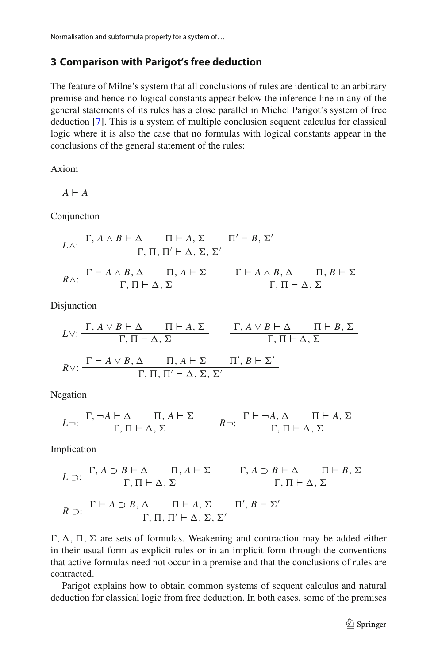## <span id="page-6-0"></span>**3 Comparison with Parigot's free deduction**

The feature of Milne's system that all conclusions of rules are identical to an arbitrary premise and hence no logical constants appear below the inference line in any of the general statements of its rules has a close parallel in Michel Parigot's system of free deduction [\[7](#page-24-8)]. This is a system of multiple conclusion sequent calculus for classical logic where it is also the case that no formulas with logical constants appear in the conclusions of the general statement of the rules:

Axiom

$$
A \vdash A
$$

Conjunction

$$
L \wedge: \frac{\Gamma, A \wedge B \vdash \Delta \qquad \Pi \vdash A, \Sigma \qquad \Pi' \vdash B, \Sigma'}{\Gamma, \Pi, \Pi' \vdash \Delta, \Sigma, \Sigma'}
$$
\n
$$
R \wedge: \frac{\Gamma \vdash A \wedge B, \Delta \qquad \Pi, A \vdash \Sigma}{\Gamma, \Pi \vdash \Delta, \Sigma} \qquad \frac{\Gamma \vdash A \wedge B, \Delta \qquad \Pi, B \vdash \Sigma}{\Gamma, \Pi \vdash \Delta, \Sigma}
$$

Disjunction

$$
L \vee: \frac{\Gamma, A \vee B \vdash \Delta \qquad \Pi \vdash A, \Sigma}{\Gamma, \Pi \vdash \Delta, \Sigma} \qquad \frac{\Gamma, A \vee B \vdash \Delta \qquad \Pi \vdash B, \Sigma}{\Gamma, \Pi \vdash \Delta, \Sigma}
$$
  

$$
R \vee: \frac{\Gamma \vdash A \vee B, \Delta \qquad \Pi, A \vdash \Sigma \qquad \Pi', B \vdash \Sigma'}{\Gamma, \Pi, \Pi' \vdash \Delta, \Sigma, \Sigma'}
$$

Negation

$$
L \neg: \frac{\Gamma, \neg A \vdash \Delta \qquad \Pi, A \vdash \Sigma}{\Gamma, \Pi \vdash \Delta, \Sigma} \qquad R \neg: \frac{\Gamma \vdash \neg A, \Delta \qquad \Pi \vdash A, \Sigma}{\Gamma, \Pi \vdash \Delta, \Sigma}
$$

Implication

$$
L \supset: \frac{\Gamma, A \supset B \vdash \Delta \qquad \Pi, A \vdash \Sigma}{\Gamma, \Pi \vdash \Delta, \Sigma} \qquad \frac{\Gamma, A \supset B \vdash \Delta \qquad \Pi \vdash B, \Sigma}{\Gamma, \Pi \vdash \Delta, \Sigma}
$$

$$
R \supset: \frac{\Gamma \vdash A \supset B, \Delta \qquad \Pi \vdash A, \Sigma \qquad \Pi', B \vdash \Sigma'}{\Gamma, \Pi, \Pi' \vdash \Delta, \Sigma, \Sigma'}
$$

 $\Gamma$ ,  $\Delta$ ,  $\Pi$ ,  $\Sigma$  are sets of formulas. Weakening and contraction may be added either in their usual form as explicit rules or in an implicit form through the conventions that active formulas need not occur in a premise and that the conclusions of rules are contracted.

Parigot explains how to obtain common systems of sequent calculus and natural deduction for classical logic from free deduction. In both cases, some of the premises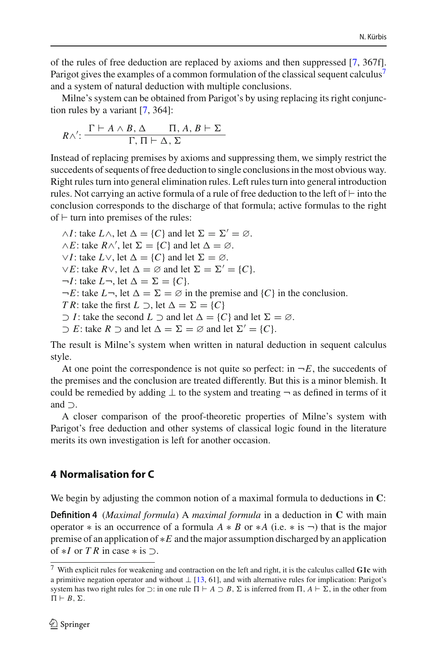of the rules of free deduction are replaced by axioms and then suppressed [\[7,](#page-24-8) 367f]. Parigot gives the examples of a common formulation of the classical sequent calculus<sup>7</sup> and a system of natural deduction with multiple conclusions.

Milne's system can be obtained from Parigot's by using replacing its right conjunction rules by a variant [\[7](#page-24-8), 364]:

$$
R \wedge': \frac{\Gamma \vdash A \wedge B, \Delta \qquad \Pi, A, B \vdash \Sigma}{\Gamma, \Pi \vdash \Delta, \Sigma}
$$

Instead of replacing premises by axioms and suppressing them, we simply restrict the succedents of sequents of free deduction to single conclusions in the most obvious way. Right rules turn into general elimination rules. Left rules turn into general introduction rules. Not carrying an active formula of a rule of free deduction to the left of  $\vdash$  into the conclusion corresponds to the discharge of that formula; active formulas to the right of  $\vdash$  turn into premises of the rules:

 $\wedge I$ : take  $L \wedge$ , let  $\Delta = \{C\}$  and let  $\Sigma = \Sigma' = \emptyset$ .  $\wedge E$ : take  $R \wedge'$ , let  $\Sigma = \{C\}$  and let  $\Delta = \emptyset$ .  $\vee I$ : take  $L \vee$ , let  $\Delta = \{C\}$  and let  $\Sigma = \emptyset$ .  $\vee E$ : take  $R \vee$ , let  $\Delta = \emptyset$  and let  $\Sigma = \Sigma' = \{C\}.$  $\neg I$ : take  $L\neg$ , let  $\Delta = \Sigma = \{C\}.$  $\neg E$ : take  $L\neg$ , let  $\Delta = \Sigma = \emptyset$  in the premise and  $\{C\}$  in the conclusion. *T R*: take the first  $L \supset$ , let  $\Delta = \Sigma = \{C\}$  $\supset$  *I*: take the second *L*  $\supset$  and let  $\Delta = \{C\}$  and let  $\Sigma = \emptyset$ .  $\supset E$ : take  $R \supset$  and let  $\Delta = \Sigma = \emptyset$  and let  $\Sigma' = \{C\}.$ 

The result is Milne's system when written in natural deduction in sequent calculus style.

At one point the correspondence is not quite so perfect: in  $\neg E$ , the succedents of the premises and the conclusion are treated differently. But this is a minor blemish. It could be remedied by adding  $\perp$  to the system and treating  $\neg$  as defined in terms of it and ⊃.

A closer comparison of the proof-theoretic properties of Milne's system with Parigot's free deduction and other systems of classical logic found in the literature merits its own investigation is left for another occasion.

# <span id="page-7-0"></span>**4 Normalisation for C**

We begin by adjusting the common notion of a maximal formula to deductions in **C**:

**Definition 4** (*Maximal formula*) A *maximal formula* in a deduction in **C** with main operator  $*$  is an occurrence of a formula  $A * B$  or  $*A$  (i.e.  $*$  is  $\neg$ ) that is the major premise of an application of ∗*E* and the major assumption discharged by an application of  $*I$  or *TR* in case  $*$  is  $\supset$ .

<span id="page-7-1"></span><sup>7</sup> With explicit rules for weakening and contraction on the left and right, it is the calculus called **G1c** with a primitive negation operator and without  $\perp$  [\[13](#page-24-3), 61], and with alternative rules for implication: Parigot's system has two right rules for  $\supset$ : in one rule  $\Pi \vdash A \supset B$ ,  $\Sigma$  is inferred from  $\Pi$ ,  $A \vdash \Sigma$ , in the other from  $\Pi \vdash B, \Sigma.$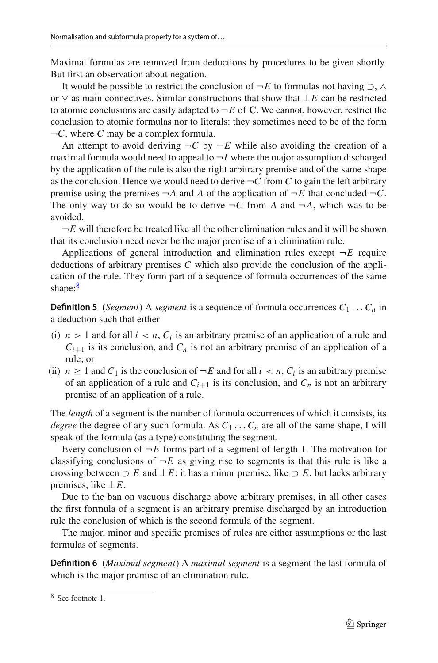Maximal formulas are removed from deductions by procedures to be given shortly. But first an observation about negation.

It would be possible to restrict the conclusion of  $\neg E$  to formulas not having  $\supset$ ,  $\wedge$ or ∨ as main connectives. Similar constructions that show that ⊥*E* can be restricted to atomic conclusions are easily adapted to  $\neg E$  of **C**. We cannot, however, restrict the conclusion to atomic formulas nor to literals: they sometimes need to be of the form ¬*C*, where *C* may be a complex formula.

An attempt to avoid deriving  $\neg C$  by  $\neg E$  while also avoiding the creation of a maximal formula would need to appeal to  $\neg I$  where the major assumption discharged by the application of the rule is also the right arbitrary premise and of the same shape as the conclusion. Hence we would need to derive  $\neg C$  from *C* to gain the left arbitrary premise using the premises  $\neg A$  and A of the application of  $\neg E$  that concluded  $\neg C$ . The only way to do so would be to derive  $\neg C$  from A and  $\neg A$ , which was to be avoided.

 $\neg E$  will therefore be treated like all the other elimination rules and it will be shown that its conclusion need never be the major premise of an elimination rule.

Applications of general introduction and elimination rules except  $\neg E$  require deductions of arbitrary premises *C* which also provide the conclusion of the application of the rule. They form part of a sequence of formula occurrences of the same shape:<sup>8</sup>

**Definition 5** (*Segment*) A *segment* is a sequence of formula occurrences  $C_1 \ldots C_n$  in a deduction such that either

- (i)  $n > 1$  and for all  $i < n$ ,  $C_i$  is an arbitrary premise of an application of a rule and  $C_{i+1}$  is its conclusion, and  $C_n$  is not an arbitrary premise of an application of a rule; or
- (ii)  $n \geq 1$  and  $C_1$  is the conclusion of  $\neg E$  and for all  $i < n$ ,  $C_i$  is an arbitrary premise of an application of a rule and  $C_{i+1}$  is its conclusion, and  $C_n$  is not an arbitrary premise of an application of a rule.

The *length* of a segment is the number of formula occurrences of which it consists, its *degree* the degree of any such formula. As  $C_1 \ldots C_n$  are all of the same shape, I will speak of the formula (as a type) constituting the segment.

Every conclusion of  $\neg E$  forms part of a segment of length 1. The motivation for classifying conclusions of  $\neg E$  as giving rise to segments is that this rule is like a crossing between  $\supset E$  and  $\perp E$ : it has a minor premise, like  $\supset E$ , but lacks arbitrary premises, like ⊥*E*.

Due to the ban on vacuous discharge above arbitrary premises, in all other cases the first formula of a segment is an arbitrary premise discharged by an introduction rule the conclusion of which is the second formula of the segment.

The major, minor and specific premises of rules are either assumptions or the last formulas of segments.

**Definition 6** (*Maximal segment*) A *maximal segment* is a segment the last formula of which is the major premise of an elimination rule.

<span id="page-8-0"></span><sup>8</sup> See footnote 1.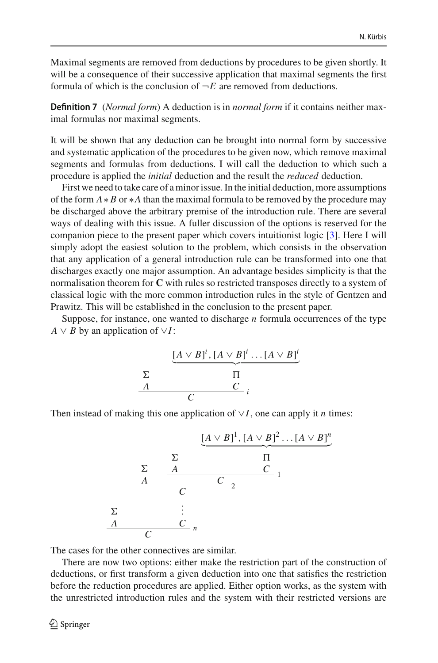Maximal segments are removed from deductions by procedures to be given shortly. It will be a consequence of their successive application that maximal segments the first formula of which is the conclusion of  $\neg E$  are removed from deductions.

**Definition 7** (*Normal form*) A deduction is in *normal form* if it contains neither maximal formulas nor maximal segments.

It will be shown that any deduction can be brought into normal form by successive and systematic application of the procedures to be given now, which remove maximal segments and formulas from deductions. I will call the deduction to which such a procedure is applied the *initial* deduction and the result the *reduced* deduction.

First we need to take care of a minor issue. In the initial deduction, more assumptions of the form *A*∗ *B* or ∗*A* than the maximal formula to be removed by the procedure may be discharged above the arbitrary premise of the introduction rule. There are several ways of dealing with this issue. A fuller discussion of the options is reserved for the companion piece to the present paper which covers intuitionist logic [\[3\]](#page-23-1). Here I will simply adopt the easiest solution to the problem, which consists in the observation that any application of a general introduction rule can be transformed into one that discharges exactly one major assumption. An advantage besides simplicity is that the normalisation theorem for **C** with rules so restricted transposes directly to a system of classical logic with the more common introduction rules in the style of Gentzen and Prawitz. This will be established in the conclusion to the present paper.

Suppose, for instance, one wanted to discharge *n* formula occurrences of the type  $A \vee B$  by an application of  $\vee I$ :

$$
\begin{array}{c}\n\left[\underline{A \vee B} \right]^i, \left[A \vee \underline{B} \right]^i \dots \left[A \vee \underline{B} \right]^i \\
\Sigma \\
\hline\n\Gamma \\
\hline\nC \\
\hline\nC \\
\hline\n\end{array}
$$

Then instead of making this one application of ∨*I*, one can apply it *n* times:

$$
\begin{array}{c}\n\sum \Delta V(B)^1, [A \vee B]^2 \dots [A \vee B]^n \\
\sum \Delta V(B)^1 \cdot \sum \Delta V(B)^1 \\
\Delta V(C) \cdot \sum \Delta V(C) \cdot \sum \Delta V(C) \cdot \sum \Delta V(C) \cdot \sum \Delta V(C) \cdot \sum \Delta V(C) \cdot \sum \Delta V(C) \cdot \sum \Delta V(C) \cdot \sum \Delta V(C) \cdot \sum \Delta V(C) \cdot \sum \Delta V(C) \cdot \sum \Delta V(C) \cdot \sum \Delta V(C) \cdot \sum \Delta V(C) \cdot \sum \Delta V(C) \cdot \sum \Delta V(C) \cdot \sum \Delta V(C) \cdot \sum \Delta V(C) \cdot \sum \Delta V(C) \cdot \sum \Delta V(C) \cdot \sum \Delta V(C) \cdot \sum \Delta V(C) \cdot \sum \Delta V(C) \cdot \sum \Delta V(C) \cdot \sum \Delta V(C) \cdot \sum \Delta V(C) \cdot \sum \Delta V(C) \cdot \sum \Delta V(C) \cdot \sum \Delta V(C) \cdot \sum \Delta V(C) \cdot \sum \Delta V(C) \cdot \sum \Delta V(C) \cdot \sum \Delta V(C) \cdot \sum \Delta V(C) \cdot \sum \Delta V(C) \cdot \sum \Delta V(C) \cdot \sum \Delta V(C) \cdot \sum \Delta V(C) \cdot \sum \Delta V(C) \cdot \sum \Delta V(C) \cdot \sum \Delta V(C) \cdot \sum \Delta V(C) \cdot \sum \Delta V(C) \cdot \sum \Delta V(C) \cdot \sum \Delta V(C) \cdot \sum \Delta V(C) \cdot \sum \Delta V(C) \cdot \sum \Delta V(C) \cdot \sum \Delta V(C) \cdot \sum \Delta V(C) \cdot \sum \Delta V(C) \cdot \sum \Delta V(C) \cdot \sum \Delta V(C) \cdot \sum \Delta V(C) \cdot \sum \Delta V(C) \cdot \sum \Delta V(C) \cdot \sum \Delta V(C) \cdot \sum \Delta V(C) \cdot \sum \Delta V(C) \cdot \sum \Delta V(C) \cdot \sum \Delta V(C) \cdot \sum \Delta V(C) \cdot \sum \Delta V(C) \cdot \sum \Delta V(C) \cdot \sum \Delta V(C) \cdot \sum \Delta V(C) \cdot \sum \Delta V(C) \cdot \sum \Delta V(C) \cdot \sum \Delta V(C) \cdot \sum \Delta V(C) \cdot \sum \Delta V(C) \cdot \sum \Delta V(C) \cdot \sum \Delta V(C) \cdot \sum \Delta V(C) \cdot \sum \Delta V(C) \cdot \sum \Delta V(C) \cdot \sum \Delta V(C) \cdot \sum \Delta V(C) \cdot \sum \Delta V
$$

The cases for the other connectives are similar.

There are now two options: either make the restriction part of the construction of deductions, or first transform a given deduction into one that satisfies the restriction before the reduction procedures are applied. Either option works, as the system with the unrestricted introduction rules and the system with their restricted versions are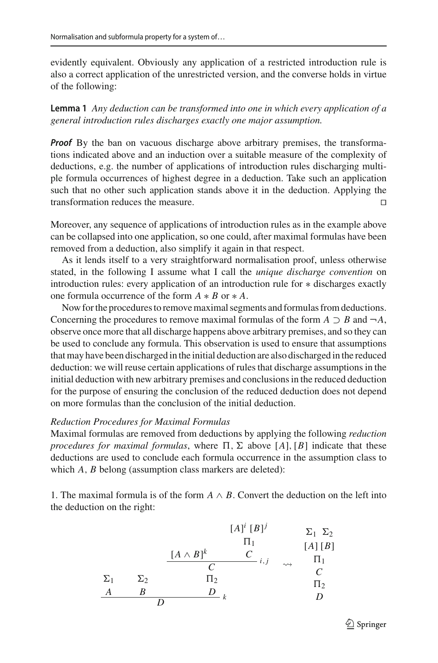evidently equivalent. Obviously any application of a restricted introduction rule is also a correct application of the unrestricted version, and the converse holds in virtue of the following:

**Lemma 1** *Any deduction can be transformed into one in which every application of a general introduction rules discharges exactly one major assumption.*

*Proof* By the ban on vacuous discharge above arbitrary premises, the transformations indicated above and an induction over a suitable measure of the complexity of deductions, e.g. the number of applications of introduction rules discharging multiple formula occurrences of highest degree in a deduction. Take such an application such that no other such application stands above it in the deduction. Applying the transformation reduces the measure. 

Moreover, any sequence of applications of introduction rules as in the example above can be collapsed into one application, so one could, after maximal formulas have been removed from a deduction, also simplify it again in that respect.

As it lends itself to a very straightforward normalisation proof, unless otherwise stated, in the following I assume what I call the *unique discharge convention* on introduction rules: every application of an introduction rule for ∗ discharges exactly one formula occurrence of the form *A* ∗ *B* or ∗ *A*.

Now for the procedures to remove maximal segments and formulas from deductions. Concerning the procedures to remove maximal formulas of the form  $A \supset B$  and  $\neg A$ , observe once more that all discharge happens above arbitrary premises, and so they can be used to conclude any formula. This observation is used to ensure that assumptions that may have been discharged in the initial deduction are also discharged in the reduced deduction: we will reuse certain applications of rules that discharge assumptions in the initial deduction with new arbitrary premises and conclusions in the reduced deduction for the purpose of ensuring the conclusion of the reduced deduction does not depend on more formulas than the conclusion of the initial deduction.

#### *Reduction Procedures for Maximal Formulas*

Maximal formulas are removed from deductions by applying the following *reduction procedures for maximal formulas*, where  $\Pi$ ,  $\Sigma$  above [A], [B] indicate that these deductions are used to conclude each formula occurrence in the assumption class to which *A*, *B* belong (assumption class markers are deleted):

1. The maximal formula is of the form  $A \wedge B$ . Convert the deduction on the left into the deduction on the right:

$$
[A]^i [B]^j \longrightarrow \Sigma_1 \Sigma_2
$$
  
\n
$$
\Pi_1
$$
  
\n
$$
\begin{array}{ccc}\n[A \wedge B]^k & C & \wedge \\
C & & \wedge J & \Pi_1 \\
C & & & C \\
\Sigma_1 & \Sigma_2 & \Pi_2 & & C \\
A & B & D & & D \\
D & & & & D\n\end{array}
$$

 $\mathcal{D}$  Springer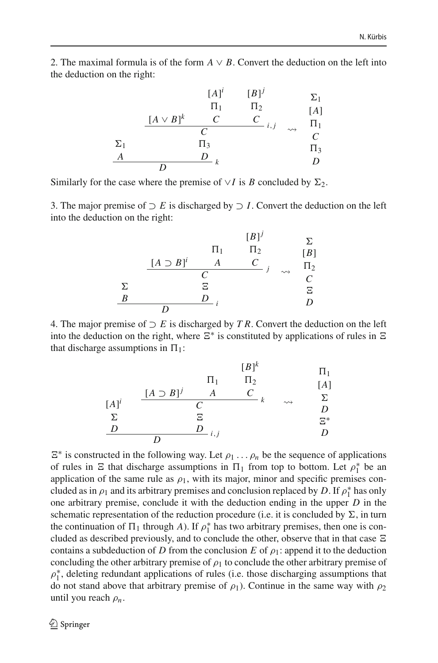2. The maximal formula is of the form  $A \vee B$ . Convert the deduction on the left into the deduction on the right:

|            |                | $[A]$ <sup>i</sup>    | $[B]^j$ |                    | $\Sigma_1$ |
|------------|----------------|-----------------------|---------|--------------------|------------|
|            |                | $\Pi_1$               | $\Pi_2$ |                    | [A]        |
|            | $[A \vee B]^k$ | C                     | C       |                    | $\Pi_1$    |
|            |                | C                     | i, j    | $\rightsquigarrow$ | C          |
| $\Sigma_1$ |                | $\Pi_3$               |         |                    | $\Pi_3$    |
| A          |                | D<br>$\boldsymbol{k}$ |         |                    | D          |
|            |                |                       |         |                    |            |

Similarly for the case where the premise of  $\vee I$  is *B* concluded by  $\Sigma_2$ .

3. The major premise of  $\supset E$  is discharged by  $\supset I$ . Convert the deduction on the left into the deduction on the right:

|   | $[A \supset B]^i$ | $\Pi_1$                          | $[B]^j$<br>$\Pi_2$<br>$\overline{C}$ |                    | Σ<br>[B]<br>$\Pi_2$ |
|---|-------------------|----------------------------------|--------------------------------------|--------------------|---------------------|
| Σ |                   | $\mathcal{C}_{\mathcal{C}}$<br>Ξ |                                      | $\rightsquigarrow$ | C<br>Ξ              |
| B |                   | D                                |                                      |                    | D                   |

4. The major premise of ⊃ *E* is discharged by *T R*. Convert the deduction on the left into the deduction on the right, where  $\Xi^*$  is constituted by applications of rules in  $\Xi$ that discharge assumptions in  $\Pi_1$ :

| $[B]^k$  | $\Pi_1$                     |   |   |
|----------|-----------------------------|---|---|
| $[A]^i$  | $\frac{[A \supset B]^j}{C}$ | A | C |
| $\Sigma$ | $\Sigma$                    |   |   |
| $\Sigma$ | $\Sigma$                    |   |   |
| $\Sigma$ | $\Sigma$                    |   |   |
| $\Sigma$ | $\Sigma$                    |   |   |
| $\Sigma$ | $\Sigma$                    |   |   |
| $\Sigma$ | $\Sigma$                    |   |   |
| $\Sigma$ | $\Sigma$                    |   |   |
| $\Sigma$ | $\Sigma$                    |   |   |
| $\Sigma$ | $\Sigma$                    |   |   |
| $\Sigma$ | $\Sigma$                    |   |   |

 $E^*$  is constructed in the following way. Let  $\rho_1 \dots \rho_n$  be the sequence of applications of rules in  $\Xi$  that discharge assumptions in  $\Pi_1$  from top to bottom. Let  $\rho_1^*$  be an application of the same rule as  $\rho_1$ , with its major, minor and specific premises concluded as in  $\rho_1$  and its arbitrary premises and conclusion replaced by *D*. If  $\rho_1^*$  has only one arbitrary premise, conclude it with the deduction ending in the upper *D* in the schematic representation of the reduction procedure (i.e. it is concluded by  $\Sigma$ , in turn the continuation of  $\Pi_1$  through *A*). If  $\rho_1^*$  has two arbitrary premises, then one is concluded as described previously, and to conclude the other, observe that in that case  $\Xi$ contains a subdeduction of *D* from the conclusion *E* of  $\rho_1$ : append it to the deduction concluding the other arbitrary premise of  $\rho_1$  to conclude the other arbitrary premise of  $\rho_1^*$ , deleting redundant applications of rules (i.e. those discharging assumptions that do not stand above that arbitrary premise of  $\rho_1$ ). Continue in the same way with  $\rho_2$ until you reach ρ*n*.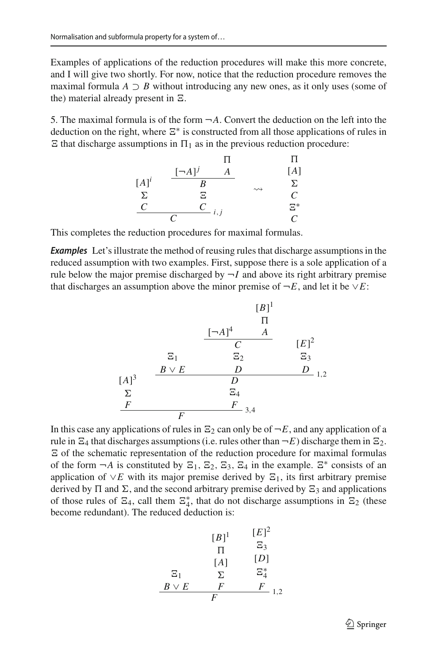Examples of applications of the reduction procedures will make this more concrete, and I will give two shortly. For now, notice that the reduction procedure removes the maximal formula  $A \supset B$  without introducing any new ones, as it only uses (some of the) material already present in  $\Xi$ .

5. The maximal formula is of the form  $\neg A$ . Convert the deduction on the left into the deduction on the right, where  $\Xi^*$  is constructed from all those applications of rules in  $\Xi$  that discharge assumptions in  $\Pi_1$  as in the previous reduction procedure:

$$
\begin{array}{ccc}\n & \Pi & \Pi \\
[A]^i & \xrightarrow{[-A]^j} A & [A] \\
\Sigma & \Sigma & \longrightarrow & \Sigma \\
C & C & i,j & \Sigma^* \\
C & C & C\n\end{array}
$$

This completes the reduction procedures for maximal formulas.

*Examples* Let's illustrate the method of reusing rules that discharge assumptions in the reduced assumption with two examples. First, suppose there is a sole application of a rule below the major premise discharged by  $\neg I$  and above its right arbitrary premise that discharges an assumption above the minor premise of  $\neg E$ , and let it be  $\vee E$ :

$$
[B]^{1}
$$
\n
$$
\begin{array}{c|cc}\n & & & [B]^{1} \\
 & & \Pi & \\
\hline\nC & & & [E]^{2} \\
E_{1} & & \Xi_{2} & \Xi_{3} \\
E_{2} & & \Xi_{3} & \\
E_{3} & & D & \\
\Sigma & & \Xi_{4} & \\
F & & F & \\
\hline\n & F & & \\
\hline\n\end{array}
$$
\n
$$
[B]^{1}
$$
\n
$$
[E]^{2}
$$
\n
$$
[E]^{2}
$$
\n
$$
[E]^{2}
$$
\n
$$
[E]^{2}
$$
\n
$$
[E]^{2}
$$
\n
$$
[E]^{2}
$$
\n
$$
[E]^{2}
$$
\n
$$
[E]^{2}
$$
\n
$$
[E]^{2}
$$
\n
$$
[E]^{2}
$$
\n
$$
[E]^{2}
$$
\n
$$
[E]^{2}
$$
\n
$$
[E]^{2}
$$
\n
$$
[E]^{2}
$$
\n
$$
[E]^{2}
$$
\n
$$
[E]^{2}
$$
\n
$$
[E]^{2}
$$
\n
$$
[E]^{2}
$$
\n
$$
[E]^{2}
$$
\n
$$
[E]^{2}
$$
\n
$$
[E]^{2}
$$
\n
$$
[E]^{2}
$$
\n
$$
[E]^{2}
$$
\n
$$
[E]^{2}
$$
\n
$$
[E]^{2}
$$
\n
$$
[E]^{2}
$$
\n
$$
[E]^{2}
$$
\n
$$
[E]^{2}
$$
\n
$$
[E]^{2}
$$
\n
$$
[E]^{2}
$$
\n
$$
[E]^{2}
$$
\n
$$
[E]^{2}
$$
\n
$$
[E]^{2}
$$
\n
$$
[E]^{2}
$$
\n
$$
[E]^{2}
$$
\n
$$
[E]^{2}
$$
\n
$$
[E]^{2}
$$
\n
$$
[E]^{2}
$$
\n
$$
[E]^{2}
$$
\n
$$
[E]^{2}
$$
\n
$$
[E]^{2
$$

In this case any applications of rules in  $\Xi_2$  can only be of  $\neg E$ , and any application of a rule in  $\Xi_4$  that discharges assumptions (i.e. rules other than  $\neg E$ ) discharge them in  $\Xi_2$ .  $\Xi$  of the schematic representation of the reduction procedure for maximal formulas of the form  $\neg A$  is constituted by  $\Xi_1$ ,  $\Xi_2$ ,  $\Xi_3$ ,  $\Xi_4$  in the example.  $\Xi^*$  consists of an application of  $\vee E$  with its major premise derived by  $\Xi_1$ , its first arbitrary premise derived by  $\Pi$  and  $\Sigma$ , and the second arbitrary premise derived by  $\Sigma_3$  and applications of those rules of  $\Xi_4$ , call them  $\Xi_4^*$ , that do not discharge assumptions in  $\Xi_2$  (these become redundant). The reduced deduction is:

$$
\begin{array}{cc}\n[B]^{1} & [E]^{2} \\
\P & \Xi_{3} \\
[A] & [D] \\
\Xi_{1} & \Sigma & \Xi_{4}^{*} \\
B \vee E & F & F \\
F & & & \n\end{array}
$$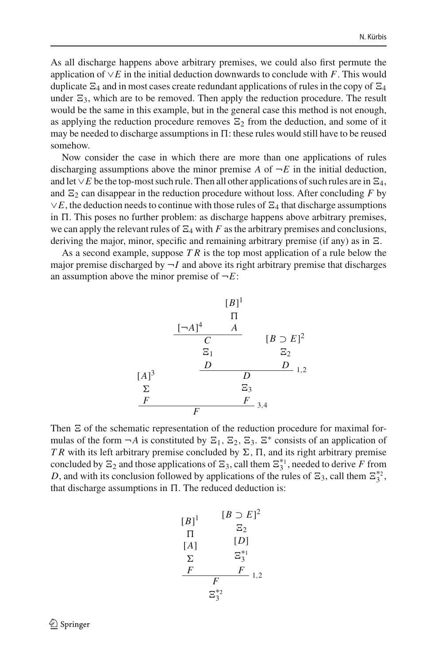As all discharge happens above arbitrary premises, we could also first permute the application of ∨*E* in the initial deduction downwards to conclude with *F*. This would duplicate  $\Xi_4$  and in most cases create redundant applications of rules in the copy of  $\Xi_4$ under  $\Xi_3$ , which are to be removed. Then apply the reduction procedure. The result would be the same in this example, but in the general case this method is not enough, as applying the reduction procedure removes  $\Xi_2$  from the deduction, and some of it may be needed to discharge assumptions in  $\Pi$ : these rules would still have to be reused somehow.

Now consider the case in which there are more than one applications of rules discharging assumptions above the minor premise *A* of  $\neg E$  in the initial deduction, and let  $\vee E$  be the top-most such rule. Then all other applications of such rules are in  $\Xi_4$ , and  $\Xi_2$  can disappear in the reduction procedure without loss. After concluding *F* by  $\vee E$ , the deduction needs to continue with those rules of  $\Xi_4$  that discharge assumptions in  $\Pi$ . This poses no further problem: as discharge happens above arbitrary premises, we can apply the relevant rules of  $\Xi_4$  with *F* as the arbitrary premises and conclusions, deriving the major, minor, specific and remaining arbitrary premise (if any) as in  $\Xi$ .

As a second example, suppose *T R* is the top most application of a rule below the major premise discharged by  $\neg I$  and above its right arbitrary premise that discharges an assumption above the minor premise of  $\neg E$ :



Then  $\Xi$  of the schematic representation of the reduction procedure for maximal formulas of the form  $\neg A$  is constituted by  $\Sigma_1$ ,  $\Sigma_2$ ,  $\Sigma_3$ .  $\Sigma^*$  consists of an application of *TR* with its left arbitrary premise concluded by  $\Sigma$ ,  $\Pi$ , and its right arbitrary premise concluded by  $\Xi_2$  and those applications of  $\Xi_3$ , call them  $\Xi_3^{*1}$ , needed to derive *F* from *D*, and with its conclusion followed by applications of the rules of  $\Xi_3$ , call them  $\Xi_3^{*2}$ , that discharge assumptions in  $\Pi$ . The reduced deduction is:

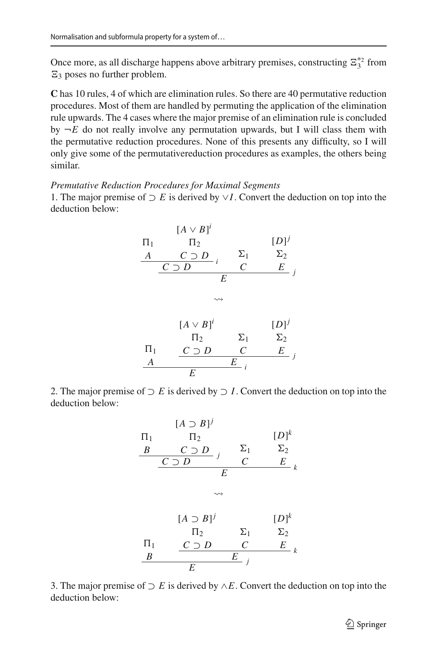Once more, as all discharge happens above arbitrary premises, constructing  $\Xi_3^{*2}$  from  $\Xi_3$  poses no further problem.

**C** has 10 rules, 4 of which are elimination rules. So there are 40 permutative reduction procedures. Most of them are handled by permuting the application of the elimination rule upwards. The 4 cases where the major premise of an elimination rule is concluded by  $\neg E$  do not really involve any permutation upwards, but I will class them with the permutative reduction procedures. None of this presents any difficulty, so I will only give some of the permutativereduction procedures as examples, the others being similar.

#### *Premutative Reduction Procedures for Maximal Segments*

1. The major premise of ⊃ *E* is derived by ∨*I*. Convert the deduction on top into the deduction below:

$$
\begin{array}{ccc}\n & [A \vee B]^i \\
\Pi_1 & \Pi_2 & [D]^j \\
\underline{A} & C \supset D & i \\
E & & \\
\end{array}
$$
\n
$$
\begin{array}{ccc}\n & \Sigma_1 & \Sigma_2 \\
\hline\nE & & \\
\end{array}
$$
\n
$$
\begin{array}{ccc}\n & \Sigma_2 & \Sigma_1 \\
 & \Sigma_2 & \\
\hline\n\end{array}
$$
\n
$$
\begin{array}{ccc}\n & [A \vee B]^i & [D]^j \\
 & \Pi_2 & \Sigma_1 & \Sigma_2 \\
\hline\nE & & \\
E & \\
\end{array}
$$

2. The major premise of  $\supset E$  is derived by  $\supset I$ . Convert the deduction on top into the deduction below:

$$
[A \supset B]^j
$$
\n
$$
\Pi_1 \qquad \Pi_2 \qquad \qquad [D]^k
$$
\n
$$
\underline{B} \qquad \underline{C \supset D} \qquad \underline{C} \qquad \Sigma_1 \qquad \Sigma_2
$$
\n
$$
\underline{C \supset D} \qquad \underline{C} \qquad \qquad E
$$
\n
$$
\Leftrightarrow
$$
\n
$$
[A \supset B]^j \qquad \qquad [D]^k
$$
\n
$$
\Pi_2 \qquad \qquad \Sigma_1 \qquad \qquad \Sigma_2
$$
\n
$$
\Pi_1 \qquad \qquad \underline{C \supset D} \qquad \qquad \underline{C} \qquad \qquad E
$$
\n
$$
\underline{B} \qquad \qquad \qquad \underline{E} \qquad \qquad j
$$

3. The major premise of ⊃ *E* is derived by ∧*E*. Convert the deduction on top into the deduction below: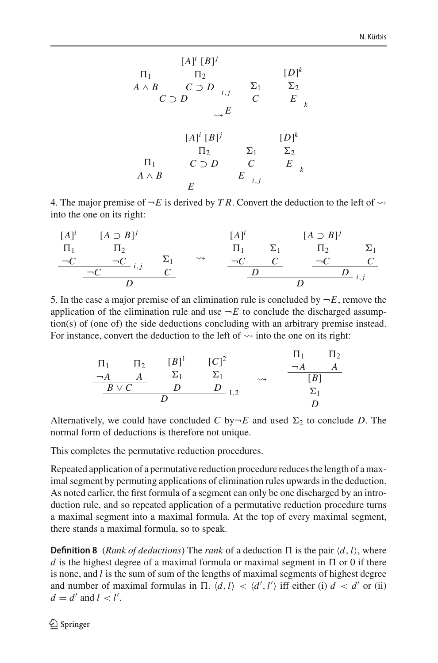$$
[A]^i [B]^j
$$
\n
$$
\Pi_1 \qquad \Pi_2 \qquad \qquad [D]^k
$$
\n
$$
\begin{array}{c|ccccc}\nA \wedge B & C \supset D & i, j & C & E \\
\hline\nC \supset D & i, j & C & E & \\
\hline\n\downarrow & & & & \\
\hline\n\downarrow & & & & \\
\hline\n\downarrow & & & & \\
\hline\n\downarrow & & & & \\
\hline\n\downarrow & & & & \\
\hline\n\downarrow & & & & \\
\hline\n\downarrow & & & & \\
\hline\n\downarrow & & & & \\
\hline\n\downarrow & & & & \\
\hline\n\downarrow & & & & \\
\hline\n\downarrow & & & & & \\
\hline\n\downarrow & & & & & \\
\hline\n\downarrow & & & & & \\
\hline\n\downarrow & & & & & \\
\hline\n\downarrow & & & & & \\
\hline\n\downarrow & & & & & \\
\hline\n\downarrow & & & & & \\
\hline\n\downarrow & & & & & \\
\hline\n\downarrow & & & & & \\
\hline\n\downarrow & & & & & \\
\hline\n\downarrow & & & & & & \\
\hline\n\downarrow & & & & & & \\
\hline\n\downarrow & & & & & & \\
\hline\n\downarrow & & & & & & \\
\hline\n\downarrow & & & & & & \\
\hline\n\downarrow & & & & & & \\
\hline\n\downarrow & & & & & & \\
\hline\n\downarrow & & & & & & \\
\hline\n\downarrow &
$$

4. The major premise of  $\neg E$  is derived by *TR*. Convert the deduction to the left of  $\rightsquigarrow$ into the one on its right:

$$
\begin{array}{ccc}\n[A]^i & [A \supset B]^j & [A]^i & [A \supset B]^j \\
\pi_1 & \pi_2 & \pi_1 & \pi_1 & \pi_2 & \pi_1 \\
\hline\n\n-\underline{C} & \neg C & i, j & \underline{C} & \underline{C} & \underline{C} \\
\hline\n& D & D & D & \underline{D} & \underline{D} \\
\end{array}
$$

5. In the case a major premise of an elimination rule is concluded by  $\neg E$ , remove the application of the elimination rule and use  $\neg E$  to conclude the discharged assumption(s) of (one of) the side deductions concluding with an arbitrary premise instead. For instance, convert the deduction to the left of  $\rightsquigarrow$  into the one on its right:

|            |         |                    | $[C]^2$             |                    |          | $\Pi_2$ |
|------------|---------|--------------------|---------------------|--------------------|----------|---------|
| $\Pi_1$    | $\Pi_2$ | $[B]$ <sup>1</sup> |                     |                    | $\neg A$ |         |
| $\neg A$   |         |                    | $\Sigma_1$          | $\rightsquigarrow$ | [B]      |         |
| $B \vee C$ |         |                    | 1 <sub>2</sub><br>. |                    |          |         |
|            |         |                    |                     |                    |          |         |
|            |         |                    |                     |                    |          |         |

Alternatively, we could have concluded C by $\neg E$  and used  $\Sigma_2$  to conclude D. The normal form of deductions is therefore not unique.

This completes the permutative reduction procedures.

Repeated application of a permutative reduction procedure reduces the length of a maximal segment by permuting applications of elimination rules upwards in the deduction. As noted earlier, the first formula of a segment can only be one discharged by an introduction rule, and so repeated application of a permutative reduction procedure turns a maximal segment into a maximal formula. At the top of every maximal segment, there stands a maximal formula, so to speak.

**Definition 8** (*Rank of deductions*) The *rank* of a deduction  $\Pi$  is the pair  $\langle d, l \rangle$ , where  $d$  is the highest degree of a maximal formula or maximal segment in  $\Pi$  or 0 if there is none, and *l* is the sum of sum of the lengths of maximal segments of highest degree and number of maximal formulas in  $\Pi$ .  $\langle d, l \rangle$  <  $\langle d', l' \rangle$  iff either (i)  $d < d'$  or (ii)  $d = d'$  and  $l' < l'$ .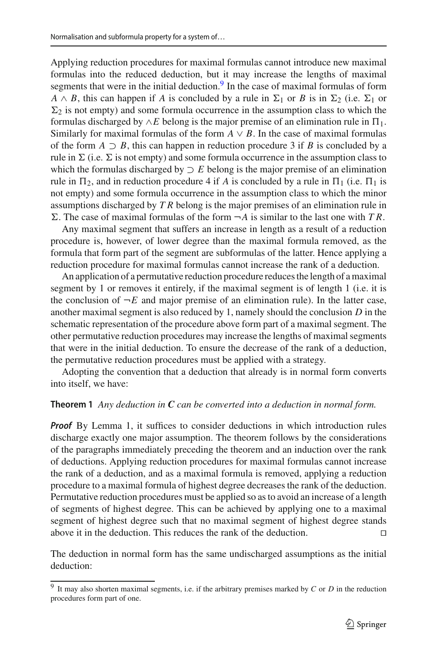Applying reduction procedures for maximal formulas cannot introduce new maximal formulas into the reduced deduction, but it may increase the lengths of maximal segments that were in the initial deduction. $9$  In the case of maximal formulas of form  $A \wedge B$ , this can happen if *A* is concluded by a rule in  $\Sigma_1$  or *B* is in  $\Sigma_2$  (i.e.  $\Sigma_1$  or  $\Sigma_2$  is not empty) and some formula occurrence in the assumption class to which the formulas discharged by  $\land E$  belong is the major premise of an elimination rule in  $\Pi_1$ . Similarly for maximal formulas of the form  $A \vee B$ . In the case of maximal formulas of the form  $A \supset B$ , this can happen in reduction procedure 3 if *B* is concluded by a rule in  $\Sigma$  (i.e.  $\Sigma$  is not empty) and some formula occurrence in the assumption class to which the formulas discharged by  $\supset E$  belong is the major premise of an elimination rule in  $\Pi_2$ , and in reduction procedure 4 if *A* is concluded by a rule in  $\Pi_1$  (i.e.  $\Pi_1$  is not empty) and some formula occurrence in the assumption class to which the minor assumptions discharged by *T R* belong is the major premises of an elimination rule in  $\Sigma$ . The case of maximal formulas of the form  $\neg A$  is similar to the last one with *TR*.

Any maximal segment that suffers an increase in length as a result of a reduction procedure is, however, of lower degree than the maximal formula removed, as the formula that form part of the segment are subformulas of the latter. Hence applying a reduction procedure for maximal formulas cannot increase the rank of a deduction.

An application of a permutative reduction procedure reduces the length of a maximal segment by 1 or removes it entirely, if the maximal segment is of length 1 (i.e. it is the conclusion of  $\neg E$  and major premise of an elimination rule). In the latter case, another maximal segment is also reduced by 1, namely should the conclusion *D* in the schematic representation of the procedure above form part of a maximal segment. The other permutative reduction procedures may increase the lengths of maximal segments that were in the initial deduction. To ensure the decrease of the rank of a deduction, the permutative reduction procedures must be applied with a strategy.

<span id="page-16-1"></span>Adopting the convention that a deduction that already is in normal form converts into itself, we have:

### **Theorem 1** *Any deduction in C can be converted into a deduction in normal form.*

**Proof** By Lemma 1, it suffices to consider deductions in which introduction rules discharge exactly one major assumption. The theorem follows by the considerations of the paragraphs immediately preceding the theorem and an induction over the rank of deductions. Applying reduction procedures for maximal formulas cannot increase the rank of a deduction, and as a maximal formula is removed, applying a reduction procedure to a maximal formula of highest degree decreases the rank of the deduction. Permutative reduction procedures must be applied so as to avoid an increase of a length of segments of highest degree. This can be achieved by applying one to a maximal segment of highest degree such that no maximal segment of highest degree stands above it in the deduction. This reduces the rank of the deduction. 

<span id="page-16-2"></span>The deduction in normal form has the same undischarged assumptions as the initial deduction:

<span id="page-16-0"></span><sup>9</sup> It may also shorten maximal segments, i.e. if the arbitrary premises marked by *C* or *D* in the reduction procedures form part of one.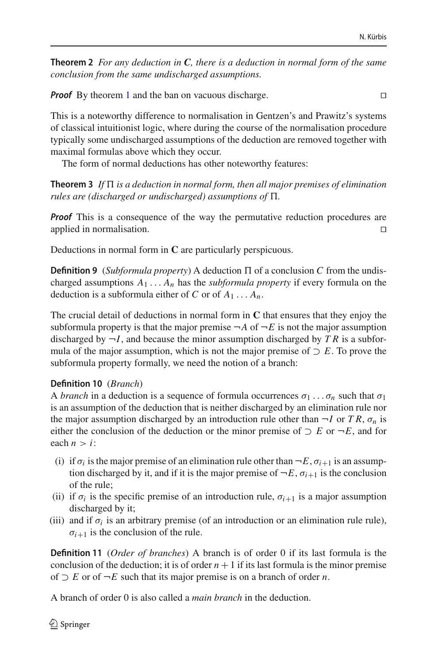**Theorem 2** *For any deduction in C, there is a deduction in normal form of the same conclusion from the same undischarged assumptions.*

*Proof* By theorem [1](#page-16-1) and the ban on vacuous discharge.

This is a noteworthy difference to normalisation in Gentzen's and Prawitz's systems of classical intuitionist logic, where during the course of the normalisation procedure typically some undischarged assumptions of the deduction are removed together with maximal formulas above which they occur.

<span id="page-17-0"></span>The form of normal deductions has other noteworthy features:

**Theorem 3** If  $\Pi$  *is a deduction in normal form, then all major premises of elimination rules are (discharged or undischarged) assumptions of*  $\Pi$ .

*Proof* This is a consequence of the way the permutative reduction procedures are applied in normalisation. 

Deductions in normal form in **C** are particularly perspicuous.

**Definition 9** (*Subformula property*) A deduction  $\Pi$  of a conclusion C from the undischarged assumptions  $A_1 \ldots A_n$  has the *subformula property* if every formula on the deduction is a subformula either of *C* or of  $A_1 \ldots A_n$ .

The crucial detail of deductions in normal form in **C** that ensures that they enjoy the subformula property is that the major premise  $\neg A$  of  $\neg E$  is not the major assumption discharged by  $\neg I$ , and because the minor assumption discharged by *TR* is a subformula of the major assumption, which is not the major premise of  $\supset E$ . To prove the subformula property formally, we need the notion of a branch:

### **Definition 10** (*Branch*)

A *branch* in a deduction is a sequence of formula occurrences  $\sigma_1 \dots \sigma_n$  such that  $\sigma_1$ is an assumption of the deduction that is neither discharged by an elimination rule nor the major assumption discharged by an introduction rule other than  $\neg I$  or *TR*,  $\sigma_n$  is either the conclusion of the deduction or the minor premise of  $\supset E$  or  $\neg E$ , and for each  $n > i$ :

- (i) if  $\sigma_i$  is the major premise of an elimination rule other than  $\neg E$ ,  $\sigma_{i+1}$  is an assumption discharged by it, and if it is the major premise of  $\neg E$ ,  $\sigma_{i+1}$  is the conclusion of the rule;
- (ii) if  $\sigma_i$  is the specific premise of an introduction rule,  $\sigma_{i+1}$  is a major assumption discharged by it;
- (iii) and if  $\sigma_i$  is an arbitrary premise (of an introduction or an elimination rule rule),  $\sigma_{i+1}$  is the conclusion of the rule.

**Definition 11** (*Order of branches*) A branch is of order 0 if its last formula is the conclusion of the deduction; it is of order  $n + 1$  if its last formula is the minor premise of ⊃ *E* or of ¬*E* such that its major premise is on a branch of order *n*.

A branch of order 0 is also called a *main branch* in the deduction.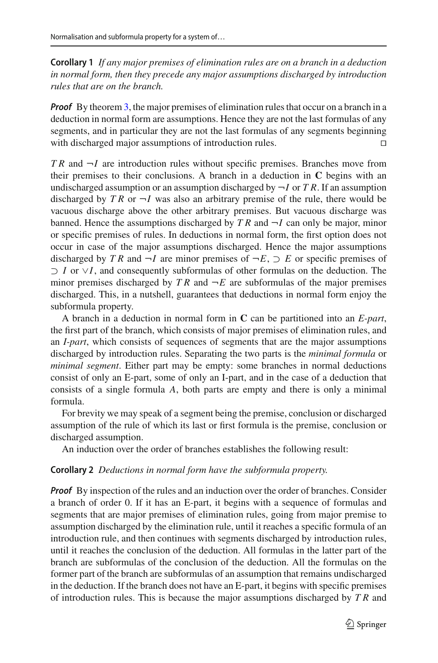**Corollary 1** *If any major premises of elimination rules are on a branch in a deduction in normal form, then they precede any major assumptions discharged by introduction rules that are on the branch.*

*Proof* By theorem [3,](#page-17-0) the major premises of elimination rules that occur on a branch in a deduction in normal form are assumptions. Hence they are not the last formulas of any segments, and in particular they are not the last formulas of any segments beginning with discharged major assumptions of introduction rules.

*T R* and ¬*I* are introduction rules without specific premises. Branches move from their premises to their conclusions. A branch in a deduction in **C** begins with an undischarged assumption or an assumption discharged by  $\neg I$  or *T R*. If an assumption discharged by  $TR$  or  $\neg I$  was also an arbitrary premise of the rule, there would be vacuous discharge above the other arbitrary premises. But vacuous discharge was banned. Hence the assumptions discharged by  $TR$  and  $\neg I$  can only be major, minor or specific premises of rules. In deductions in normal form, the first option does not occur in case of the major assumptions discharged. Hence the major assumptions discharged by *TR* and  $\neg I$  are minor premises of  $\neg E$ ,  $\supset E$  or specific premises of ⊃ *I* or ∨*I*, and consequently subformulas of other formulas on the deduction. The minor premises discharged by  $TR$  and  $\neg E$  are subformulas of the major premises discharged. This, in a nutshell, guarantees that deductions in normal form enjoy the subformula property.

A branch in a deduction in normal form in **C** can be partitioned into an *E-part*, the first part of the branch, which consists of major premises of elimination rules, and an *I-part*, which consists of sequences of segments that are the major assumptions discharged by introduction rules. Separating the two parts is the *minimal formula* or *minimal segment*. Either part may be empty: some branches in normal deductions consist of only an E-part, some of only an I-part, and in the case of a deduction that consists of a single formula *A*, both parts are empty and there is only a minimal formula.

For brevity we may speak of a segment being the premise, conclusion or discharged assumption of the rule of which its last or first formula is the premise, conclusion or discharged assumption.

<span id="page-18-0"></span>An induction over the order of branches establishes the following result:

#### **Corollary 2** *Deductions in normal form have the subformula property.*

*Proof* By inspection of the rules and an induction over the order of branches. Consider a branch of order 0. If it has an E-part, it begins with a sequence of formulas and segments that are major premises of elimination rules, going from major premise to assumption discharged by the elimination rule, until it reaches a specific formula of an introduction rule, and then continues with segments discharged by introduction rules, until it reaches the conclusion of the deduction. All formulas in the latter part of the branch are subformulas of the conclusion of the deduction. All the formulas on the former part of the branch are subformulas of an assumption that remains undischarged in the deduction. If the branch does not have an E-part, it begins with specific premises of introduction rules. This is because the major assumptions discharged by *T R* and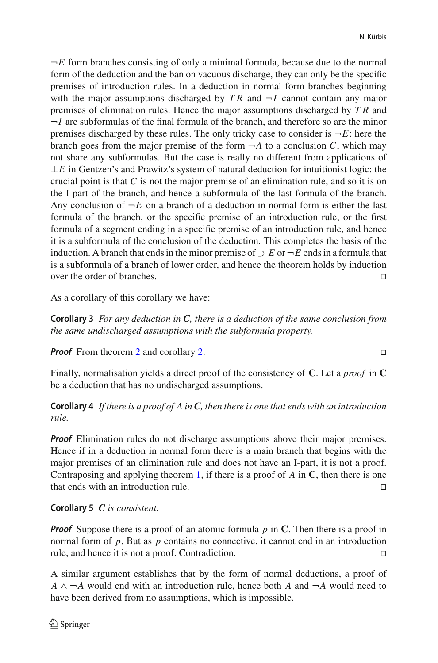$\neg E$  form branches consisting of only a minimal formula, because due to the normal form of the deduction and the ban on vacuous discharge, they can only be the specific premises of introduction rules. In a deduction in normal form branches beginning with the major assumptions discharged by  $TR$  and  $\neg I$  cannot contain any major premises of elimination rules. Hence the major assumptions discharged by *T R* and  $\neg I$  are subformulas of the final formula of the branch, and therefore so are the minor premises discharged by these rules. The only tricky case to consider is  $\neg E$ : here the branch goes from the major premise of the form  $\neg A$  to a conclusion *C*, which may not share any subformulas. But the case is really no different from applications of  $\perp E$  in Gentzen's and Prawitz's system of natural deduction for intuitionist logic: the crucial point is that *C* is not the major premise of an elimination rule, and so it is on the I-part of the branch, and hence a subformula of the last formula of the branch. Any conclusion of  $\neg E$  on a branch of a deduction in normal form is either the last formula of the branch, or the specific premise of an introduction rule, or the first formula of a segment ending in a specific premise of an introduction rule, and hence it is a subformula of the conclusion of the deduction. This completes the basis of the induction. A branch that ends in the minor premise of  $\supset E$  or  $\neg E$  ends in a formula that is a subformula of a branch of lower order, and hence the theorem holds by induction over the order of branches. 

As a corollary of this corollary we have:

**Corollary 3** *For any deduction in C, there is a deduction of the same conclusion from the same undischarged assumptions with the subformula property.*

*Proof* From theorem [2](#page-16-2) and corollary [2.](#page-18-0) □

Finally, normalisation yields a direct proof of the consistency of **C**. Let a *proof* in **C** be a deduction that has no undischarged assumptions.

**Corollary 4** *If there is a proof of A in C, then there is one that ends with an introduction rule.*

*Proof* Elimination rules do not discharge assumptions above their major premises. Hence if in a deduction in normal form there is a main branch that begins with the major premises of an elimination rule and does not have an I-part, it is not a proof. Contraposing and applying theorem [1,](#page-16-1) if there is a proof of *A* in **C**, then there is one that ends with an introduction rule. 

# **Corollary 5** *C is consistent.*

*Proof* Suppose there is a proof of an atomic formula *p* in **C**. Then there is a proof in normal form of *p*. But as *p* contains no connective, it cannot end in an introduction rule, and hence it is not a proof. Contradiction. 

A similar argument establishes that by the form of normal deductions, a proof of  $A \wedge \neg A$  would end with an introduction rule, hence both A and  $\neg A$  would need to have been derived from no assumptions, which is impossible.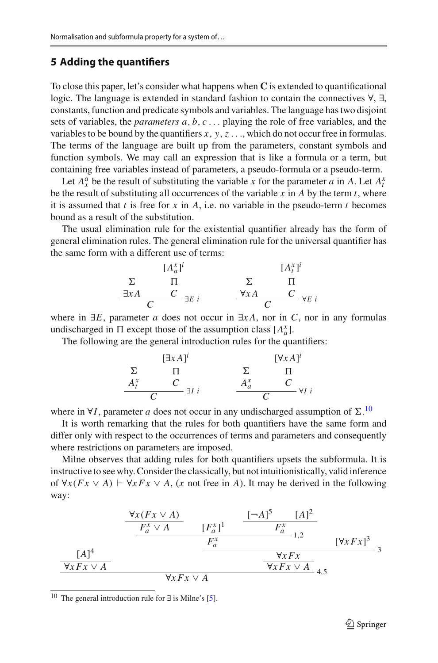### **5 Adding the quantifiers**

To close this paper, let's consider what happens when **C** is extended to quantificational logic. The language is extended in standard fashion to contain the connectives ∀, ∃, constants, function and predicate symbols and variables. The language has two disjoint sets of variables, the *parameters a*, *b*, *c* ... playing the role of free variables, and the variables to be bound by the quantifiers *x*, *y*,*z* ..., which do not occur free in formulas. The terms of the language are built up from the parameters, constant symbols and function symbols. We may call an expression that is like a formula or a term, but containing free variables instead of parameters, a pseudo-formula or a pseudo-term.

Let  $A_x^a$  be the result of substituting the variable *x* for the parameter *a* in *A*. Let  $A_t^x$ be the result of substituting all occurrences of the variable  $x$  in  $A$  by the term  $t$ , where it is assumed that *t* is free for *x* in *A*, i.e. no variable in the pseudo-term *t* becomes bound as a result of the substitution.

The usual elimination rule for the existential quantifier already has the form of general elimination rules. The general elimination rule for the universal quantifier has the same form with a different use of terms:

$$
\begin{array}{ccc}\n & [A_a^x]^i & [A_t^x]^i \\
\Sigma & \Pi & \Sigma & \Pi \\
\exists xA & C & \exists E \ i & \forall xA & C \\
\end{array}
$$

where in  $\exists E$ , parameter *a* does not occur in  $\exists x A$ , nor in *C*, nor in any formulas undischarged in  $\Pi$  except those of the assumption class  $[A^x_a]$ .

The following are the general introduction rules for the quantifiers:

$$
\begin{array}{ccc}\n & & \left[\exists x A\right]^i & & \left[\forall x A\right]^i \\
\Sigma & \Pi & & \Sigma & \Pi \\
A_t^x & C & \exists I \ i & & \frac{A_a^x & C}{C} \\
\hline\nC & & \n\end{array}
$$

where in  $\forall I$ , parameter *a* does not occur in any undischarged assumption of  $\Sigma$ .<sup>[10](#page-20-0)</sup>

It is worth remarking that the rules for both quantifiers have the same form and differ only with respect to the occurrences of terms and parameters and consequently where restrictions on parameters are imposed.

Milne observes that adding rules for both quantifiers upsets the subformula. It is instructive to see why. Consider the classically, but not intuitionistically, valid inference of  $\forall x (Fx ∨ A) \vdash \forall x Fx ∨ A$ , (*x* not free in *A*). It may be derived in the following way:

$$
\frac{\frac{\forall x (Fx \vee A)}{F_a^x \vee A} \qquad [F_a^x]^1 \qquad \frac{[-A]^5 \qquad [A]^2}{F_a^x}}{\frac{F_a^x}{\forall x Fx \vee A} \qquad \frac{F_x^x}{\forall x Fx \vee A} \qquad \frac{\forall x Fx}{\forall x Fx \vee A} \qquad 3}
$$

<span id="page-20-0"></span><sup>&</sup>lt;sup>10</sup> The general introduction rule for  $\exists$  is Milne's [\[5](#page-24-1)].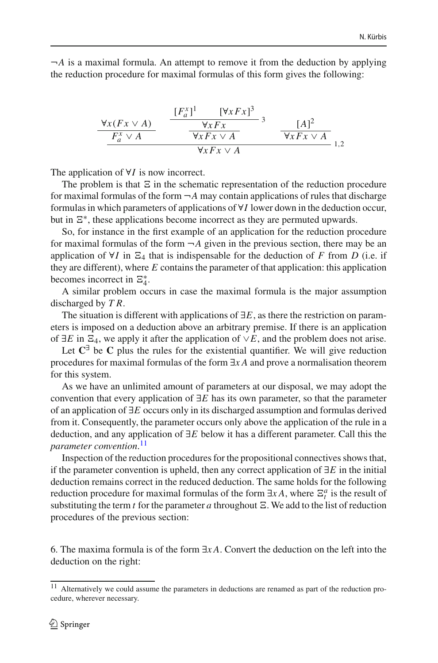$\neg A$  is a maximal formula. An attempt to remove it from the deduction by applying the reduction procedure for maximal formulas of this form gives the following:

$$
\frac{\forall x (Fx \lor A)}{F_a^x \lor A} \qquad \frac{[F_a^x]^1 \qquad [\forall x Fx]^3}{\forall x Fx \lor A} \qquad 3 \qquad \frac{[A]^2}{\forall x Fx \lor A} \qquad 1,2}
$$

The application of ∀*I* is now incorrect.

The problem is that  $\Xi$  in the schematic representation of the reduction procedure for maximal formulas of the form  $\neg A$  may contain applications of rules that discharge formulas in which parameters of applications of ∀*I* lower down in the deduction occur, but in  $E^*$ , these applications become incorrect as they are permuted upwards.

So, for instance in the first example of an application for the reduction procedure for maximal formulas of the form  $\neg A$  given in the previous section, there may be an application of  $\forall I$  in  $\Xi_4$  that is indispensable for the deduction of *F* from *D* (i.e. if they are different), where *E* contains the parameter of that application: this application becomes incorrect in  $\Xi_4^*$ .

A similar problem occurs in case the maximal formula is the major assumption discharged by *T R*.

The situation is different with applications of ∃*E*, as there the restriction on parameters is imposed on a deduction above an arbitrary premise. If there is an application of  $\exists E$  in  $\Xi$ <sub>4</sub>, we apply it after the application of  $∨E$ , and the problem does not arise.

Let  $C^{\exists}$  be C plus the rules for the existential quantifier. We will give reduction procedures for maximal formulas of the form ∃*x A* and prove a normalisation theorem for this system.

As we have an unlimited amount of parameters at our disposal, we may adopt the convention that every application of ∃*E* has its own parameter, so that the parameter of an application of ∃*E* occurs only in its discharged assumption and formulas derived from it. Consequently, the parameter occurs only above the application of the rule in a deduction, and any application of ∃*E* below it has a different parameter. Call this the *parameter convention*. [11](#page-21-0)

Inspection of the reduction procedures for the propositional connectives shows that, if the parameter convention is upheld, then any correct application of ∃*E* in the initial deduction remains correct in the reduced deduction. The same holds for the following reduction procedure for maximal formulas of the form  $\exists x A$ , where  $\Xi_t^a$  is the result of substituting the term  $t$  for the parameter  $a$  throughout  $\Xi$ . We add to the list of reduction procedures of the previous section:

6. The maxima formula is of the form ∃*x A*. Convert the deduction on the left into the deduction on the right:

<span id="page-21-0"></span><sup>&</sup>lt;sup>11</sup> Alternatively we could assume the parameters in deductions are renamed as part of the reduction procedure, wherever necessary.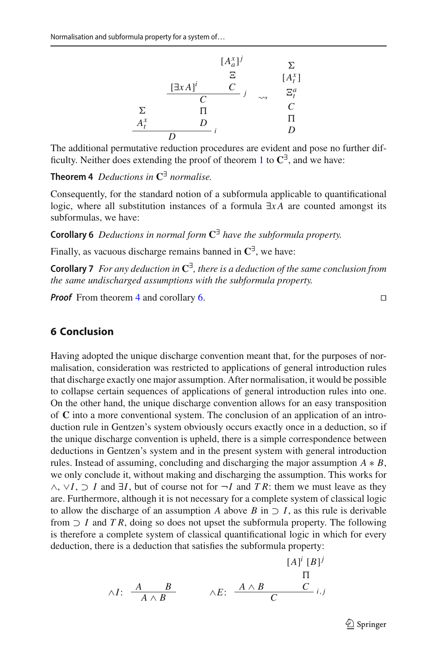

<span id="page-22-0"></span>The additional permutative reduction procedures are evident and pose no further difficulty. Neither does extending the proof of theorem [1](#page-16-1) to **C**∃, and we have:

**Theorem 4** *Deductions in* **C**∃ *normalise.*

Consequently, for the standard notion of a subformula applicable to quantificational logic, where all substitution instances of a formula ∃*x A* are counted amongst its subformulas, we have:

<span id="page-22-1"></span>**Corollary 6** *Deductions in normal form* **C**∃ *have the subformula property.*

Finally, as vacuous discharge remains banned in  $\mathbb{C}^{\exists}$ , we have:

**Corollary 7** *For any deduction in* **C**∃*, there is a deduction of the same conclusion from the same undischarged assumptions with the subformula property.*

**Proof** From theorem [4](#page-22-0) and corollary [6.](#page-22-1)

# **6 Conclusion**

Having adopted the unique discharge convention meant that, for the purposes of normalisation, consideration was restricted to applications of general introduction rules that discharge exactly one major assumption. After normalisation, it would be possible to collapse certain sequences of applications of general introduction rules into one. On the other hand, the unique discharge convention allows for an easy transposition of **C** into a more conventional system. The conclusion of an application of an introduction rule in Gentzen's system obviously occurs exactly once in a deduction, so if the unique discharge convention is upheld, there is a simple correspondence between deductions in Gentzen's system and in the present system with general introduction rules. Instead of assuming, concluding and discharging the major assumption  $A * B$ , we only conclude it, without making and discharging the assumption. This works for ∧, ∨*I*, ⊃ *I* and ∃*I*, but of course not for ¬*I* and *T R*: them we must leave as they are. Furthermore, although it is not necessary for a complete system of classical logic to allow the discharge of an assumption *A* above *B* in  $\supset I$ , as this rule is derivable from  $\supset I$  and  $TR$ , doing so does not upset the subformula property. The following is therefore a complete system of classical quantificational logic in which for every deduction, there is a deduction that satisfies the subformula property:

$$
\wedge I: \begin{array}{ccc} & & [A]^i [B]^j \\ & A \wedge B & & \wedge E: & \xrightarrow{A \wedge B} & C \\ & & C & & \vdots, \end{array}
$$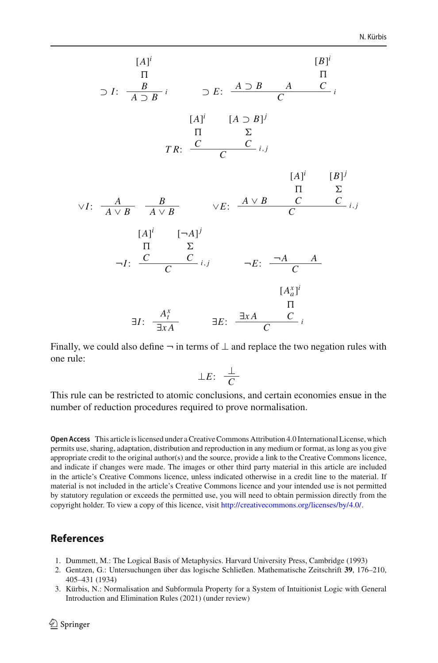$$
[A]^{i}
$$
\n
$$
\Pi
$$
\n
$$
\square I: \frac{B}{A \square B}^{i}
$$
\n
$$
\square E: \frac{A \square B}{C}^{i}
$$
\n
$$
[A]^{i}
$$
\n
$$
[A \square B]^{j}
$$
\n
$$
\Pi \quad \Sigma
$$
\n
$$
TR: \frac{C}{C}^{i}
$$
\n
$$
[A]^{i}
$$
\n
$$
[A]^{i}
$$
\n
$$
[B]^{j}
$$
\n
$$
\square
$$
\n
$$
\square
$$
\n
$$
\square
$$
\n
$$
\square
$$
\n
$$
\square
$$
\n
$$
[A]^{i}
$$
\n
$$
[A \lor B \quad A \lor B \quad \lor E: \frac{A \lor B}{C}^{i}
$$
\n
$$
[A]^{i}
$$
\n
$$
\square
$$
\n
$$
\square
$$
\n
$$
\square
$$
\n
$$
\square
$$
\n
$$
\square
$$
\n
$$
\square
$$
\n
$$
\square
$$
\n
$$
\square
$$
\n
$$
\square
$$
\n
$$
\square
$$
\n
$$
\square
$$
\n
$$
\square
$$
\n
$$
\square
$$
\n
$$
\square
$$
\n
$$
\square
$$
\n
$$
\square
$$
\n
$$
\square
$$
\n
$$
\square
$$
\n
$$
\square
$$
\n
$$
\square
$$
\n
$$
\square
$$
\n
$$
\square
$$
\n
$$
\square
$$
\n
$$
\square
$$
\n
$$
\square
$$
\n
$$
\square
$$
\n
$$
\square
$$
\n
$$
\square
$$
\n
$$
\square
$$
\n
$$
\square
$$
\n
$$
\square
$$
\n
$$
\square
$$
\n
$$
\square
$$
\n
$$
\square
$$
\n
$$
\square
$$
\n
$$
\square
$$
\n
$$
\square
$$
\n
$$
\square
$$
\n
$$
\square
$$
\n
$$
\square
$$
\n
$$
\square
$$
\n

Finally, we could also define  $\neg$  in terms of  $\bot$  and replace the two negation rules with one rule:

$$
\perp E: \frac{\perp}{C}
$$

This rule can be restricted to atomic conclusions, and certain economies ensue in the number of reduction procedures required to prove normalisation.

**Open Access** This article is licensed under a Creative Commons Attribution 4.0 International License, which permits use, sharing, adaptation, distribution and reproduction in any medium or format, as long as you give appropriate credit to the original author(s) and the source, provide a link to the Creative Commons licence, and indicate if changes were made. The images or other third party material in this article are included in the article's Creative Commons licence, unless indicated otherwise in a credit line to the material. If material is not included in the article's Creative Commons licence and your intended use is not permitted by statutory regulation or exceeds the permitted use, you will need to obtain permission directly from the copyright holder. To view a copy of this licence, visit [http://creativecommons.org/licenses/by/4.0/.](http://creativecommons.org/licenses/by/4.0/)

### **References**

- <span id="page-23-2"></span>1. Dummett, M.: The Logical Basis of Metaphysics. Harvard University Press, Cambridge (1993)
- <span id="page-23-0"></span>2. Gentzen, G.: Untersuchungen über das logische Schließen. Mathematische Zeitschrift **39**, 176–210, 405–431 (1934)
- <span id="page-23-1"></span>3. Kürbis, N.: Normalisation and Subformula Property for a System of Intuitionist Logic with General Introduction and Elimination Rules (2021) (under review)